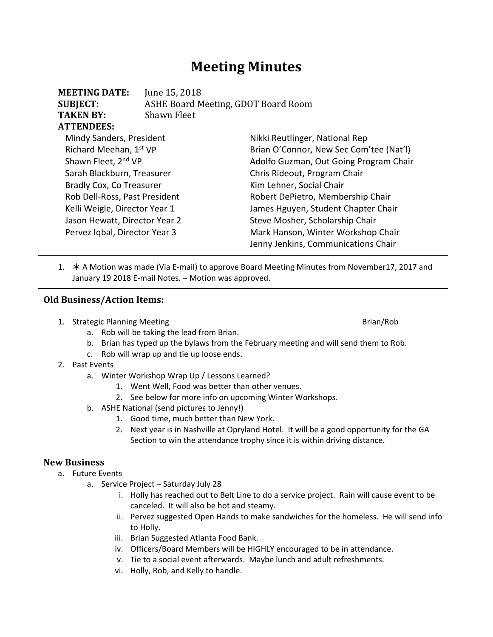# **Meeting Minutes**

| <b>SUBJECT:</b>               |             | ASHE Board Meeting, GDOT Board Room     |  |  |
|-------------------------------|-------------|-----------------------------------------|--|--|
| <b>TAKEN BY:</b>              | Shawn Fleet |                                         |  |  |
| <b>ATTENDEES:</b>             |             |                                         |  |  |
| Mindy Sanders, President      |             | Nikki Reutlinger, National Rep          |  |  |
| Richard Meehan, 1st VP        |             | Brian O'Connor, New Sec Com'tee (Nat'l) |  |  |
| Shawn Fleet, 2nd VP           |             | Adolfo Guzman, Out Going Program Chair  |  |  |
| Sarah Blackburn, Treasurer    |             | Chris Rideout, Program Chair            |  |  |
| Bradly Cox, Co Treasurer      |             | Kim Lehner, Social Chair                |  |  |
| Rob Dell-Ross, Past President |             | Robert DePietro, Membership Chair       |  |  |
| Kelli Weigle, Director Year 1 |             | James Hguyen, Student Chapter Chair     |  |  |
| Jason Hewatt, Director Year 2 |             | Steve Mosher, Scholarship Chair         |  |  |
| Pervez Iqbal, Director Year 3 |             | Mark Hanson, Winter Workshop Chair      |  |  |
|                               |             | Jenny Jenkins, Communications Chair     |  |  |

1. \* A Motion was made (Via E-mail) to approve Board Meeting Minutes from November17, 2017 and January 19 2018 E‐mail Notes. – Motion was approved.

#### **Old Business/Action Items:**

1. Strategic Planning Meeting Brian/Rob

**MEETING DATE:** June 15, 2018

- a. Rob will be taking the lead from Brian.
- b. Brian has typed up the bylaws from the February meeting and will send them to Rob.
- c. Rob will wrap up and tie up loose ends.
- 2. Past Events
	- a. Winter Workshop Wrap Up / Lessons Learned?
		- 1. Went Well, Food was better than other venues.
		- 2. See below for more info on upcoming Winter Workshops.
	- b. ASHE National (send pictures to Jenny!)
		- 1. Good time, much better than New York.
		- 2. Next year is in Nashville at Opryland Hotel. It will be a good opportunity for the GA Section to win the attendance trophy since it is within driving distance.

### **New Business**

- a. Future Events
	- a. Service Project Saturday July 28
		- i. Holly has reached out to Belt Line to do a service project. Rain will cause event to be canceled. It will also be hot and steamy.
		- ii. Pervez suggested Open Hands to make sandwiches for the homeless. He will send info to Holly.
		- iii. Brian Suggested Atlanta Food Bank.
		- iv. Officers/Board Members will be HIGHLY encouraged to be in attendance.
		- v. Tie to a social event afterwards. Maybe lunch and adult refreshments.
		- vi. Holly, Rob, and Kelly to handle.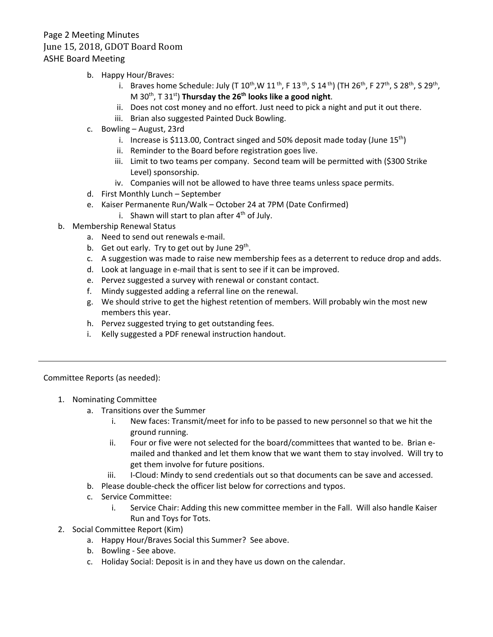## Page 2 Meeting Minutes June 15, 2018, GDOT Board Room ASHE Board Meeting

- b. Happy Hour/Braves:
	- i. Braves home Schedule: July (T  $10^{th}$ , W  $11^{th}$ , F  $13^{th}$ , S  $14^{th}$ ) (TH  $26^{th}$ , F  $27^{th}$ , S  $28^{th}$ , S  $29^{th}$ , M 30<sup>th</sup>, T 31<sup>st</sup>) **Thursday the 26<sup>th</sup> looks like a good night**.
	- ii. Does not cost money and no effort. Just need to pick a night and put it out there.
	- iii. Brian also suggested Painted Duck Bowling.
- c. Bowling August, 23rd
	- i. Increase is \$113.00, Contract singed and 50% deposit made today (June  $15<sup>th</sup>$ )
	- ii. Reminder to the Board before registration goes live.
	- iii. Limit to two teams per company. Second team will be permitted with (\$300 Strike Level) sponsorship.
	- iv. Companies will not be allowed to have three teams unless space permits.
- d. First Monthly Lunch September
- e. Kaiser Permanente Run/Walk October 24 at 7PM (Date Confirmed)
	- i. Shawn will start to plan after  $4<sup>th</sup>$  of July.
- b. Membership Renewal Status
	- a. Need to send out renewals e‐mail.
	- b. Get out early. Try to get out by June 29<sup>th</sup>.
	- c. A suggestion was made to raise new membership fees as a deterrent to reduce drop and adds.
	- d. Look at language in e‐mail that is sent to see if it can be improved.
	- e. Pervez suggested a survey with renewal or constant contact.
	- f. Mindy suggested adding a referral line on the renewal.
	- g. We should strive to get the highest retention of members. Will probably win the most new members this year.
	- h. Pervez suggested trying to get outstanding fees.
	- i. Kelly suggested a PDF renewal instruction handout.

Committee Reports (as needed):

- 1. Nominating Committee
	- a. Transitions over the Summer
		- i. New faces: Transmit/meet for info to be passed to new personnel so that we hit the ground running.
		- ii. Four or five were not selected for the board/committees that wanted to be. Brian emailed and thanked and let them know that we want them to stay involved. Will try to get them involve for future positions.
		- iii. I‐Cloud: Mindy to send credentials out so that documents can be save and accessed.
	- b. Please double‐check the officer list below for corrections and typos.
	- c. Service Committee:
		- i. Service Chair: Adding this new committee member in the Fall. Will also handle Kaiser Run and Toys for Tots.
- 2. Social Committee Report (Kim)
	- a. Happy Hour/Braves Social this Summer? See above.
	- b. Bowling ‐ See above.
	- c. Holiday Social: Deposit is in and they have us down on the calendar.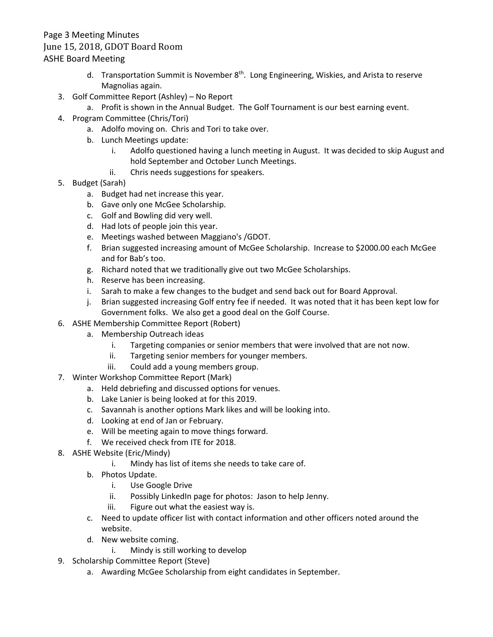## Page 3 Meeting Minutes June 15, 2018, GDOT Board Room ASHE Board Meeting

- d. Transportation Summit is November 8<sup>th</sup>. Long Engineering, Wiskies, and Arista to reserve Magnolias again.
- 3. Golf Committee Report (Ashley) No Report
	- a. Profit is shown in the Annual Budget. The Golf Tournament is our best earning event.
- 4. Program Committee (Chris/Tori)
	- a. Adolfo moving on. Chris and Tori to take over.
	- b. Lunch Meetings update:
		- i. Adolfo questioned having a lunch meeting in August. It was decided to skip August and hold September and October Lunch Meetings.
		- ii. Chris needs suggestions for speakers.
- 5. Budget (Sarah)
	- a. Budget had net increase this year.
	- b. Gave only one McGee Scholarship.
	- c. Golf and Bowling did very well.
	- d. Had lots of people join this year.
	- e. Meetings washed between Maggiano's /GDOT.
	- f. Brian suggested increasing amount of McGee Scholarship. Increase to \$2000.00 each McGee and for Bab's too.
	- g. Richard noted that we traditionally give out two McGee Scholarships.
	- h. Reserve has been increasing.
	- i. Sarah to make a few changes to the budget and send back out for Board Approval.
	- j. Brian suggested increasing Golf entry fee if needed. It was noted that it has been kept low for Government folks. We also get a good deal on the Golf Course.
- 6. ASHE Membership Committee Report (Robert)
	- a. Membership Outreach ideas
		- i. Targeting companies or senior members that were involved that are not now.
		- ii. Targeting senior members for younger members.
		- iii. Could add a young members group.
- 7. Winter Workshop Committee Report (Mark)
	- a. Held debriefing and discussed options for venues.
	- b. Lake Lanier is being looked at for this 2019.
	- c. Savannah is another options Mark likes and will be looking into.
	- d. Looking at end of Jan or February.
	- e. Will be meeting again to move things forward.
	- f. We received check from ITE for 2018.
- 8. ASHE Website (Eric/Mindy)
	- i. Mindy has list of items she needs to take care of.
	- b. Photos Update.
		- i. Use Google Drive
		- ii. Possibly LinkedIn page for photos: Jason to help Jenny.
		- iii. Figure out what the easiest way is.
	- c. Need to update officer list with contact information and other officers noted around the website.
	- d. New website coming.
		- i. Mindy is still working to develop
- 9. Scholarship Committee Report (Steve)
	- a. Awarding McGee Scholarship from eight candidates in September.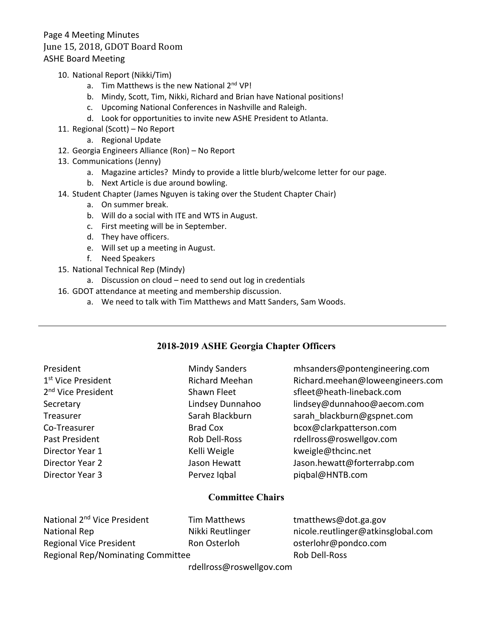- 10. National Report (Nikki/Tim)
	- a. Tim Matthews is the new National 2<sup>nd</sup> VP!
	- b. Mindy, Scott, Tim, Nikki, Richard and Brian have National positions!
	- c. Upcoming National Conferences in Nashville and Raleigh.
	- d. Look for opportunities to invite new ASHE President to Atlanta.
- 11. Regional (Scott) No Report
	- a. Regional Update
- 12. Georgia Engineers Alliance (Ron) No Report
- 13. Communications (Jenny)
	- a. Magazine articles? Mindy to provide a little blurb/welcome letter for our page.
	- b. Next Article is due around bowling.
- 14. Student Chapter (James Nguyen is taking over the Student Chapter Chair)
	- a. On summer break.
	- b. Will do a social with ITE and WTS in August.
	- c. First meeting will be in September.
	- d. They have officers.
	- e. Will set up a meeting in August.
	- f. Need Speakers
- 15. National Technical Rep (Mindy)
	- a. Discussion on cloud need to send out log in credentials
- 16. GDOT attendance at meeting and membership discussion.
	- a. We need to talk with Tim Matthews and Matt Sanders, Sam Woods.

### **2018-2019 ASHE Georgia Chapter Officers**

| President<br>1 <sup>st</sup> Vice President<br>2 <sup>nd</sup> Vice President<br>Secretary<br>Treasurer<br>Co-Treasurer<br>Past President<br>Director Year 1<br>Director Year 2<br>Director Year 3 | <b>Mindy Sanders</b><br><b>Richard Meehan</b><br>Shawn Fleet<br>Lindsey Dunnahoo<br>Sarah Blackburn<br><b>Brad Cox</b><br>Rob Dell-Ross<br>Kelli Weigle<br>Jason Hewatt<br>Pervez Igbal | mhsanders@pontengineering.com<br>Richard.meehan@loweengineers.com<br>sfleet@heath-lineback.com<br>lindsey@dunnahoo@aecom.com<br>sarah blackburn@gspnet.com<br>bcox@clarkpatterson.com<br>rdellross@roswellgov.com<br>kweigle@thcinc.net<br>Jason.hewatt@forterrabp.com<br>piqbal@HNTB.com |  |  |  |
|----------------------------------------------------------------------------------------------------------------------------------------------------------------------------------------------------|-----------------------------------------------------------------------------------------------------------------------------------------------------------------------------------------|-------------------------------------------------------------------------------------------------------------------------------------------------------------------------------------------------------------------------------------------------------------------------------------------|--|--|--|
| <b>Committee Chairs</b>                                                                                                                                                                            |                                                                                                                                                                                         |                                                                                                                                                                                                                                                                                           |  |  |  |
| National 2 <sup>nd</sup> Vice President                                                                                                                                                            | <b>Tim Matthews</b>                                                                                                                                                                     | tmatthews@dot.ga.gov                                                                                                                                                                                                                                                                      |  |  |  |

| National 2"" Vice President              | Tim Matthews     | $t$ matthews@dot.ga.gov            |
|------------------------------------------|------------------|------------------------------------|
| National Rep                             | Nikki Reutlinger | nicole.reutlinger@atkinsglobal.com |
| <b>Regional Vice President</b>           | Ron Osterloh     | osterlohr@pondco.com               |
| <b>Regional Rep/Nominating Committee</b> | Rob Dell-Ross    |                                    |
|                                          |                  |                                    |

rdellross@roswellgov.com